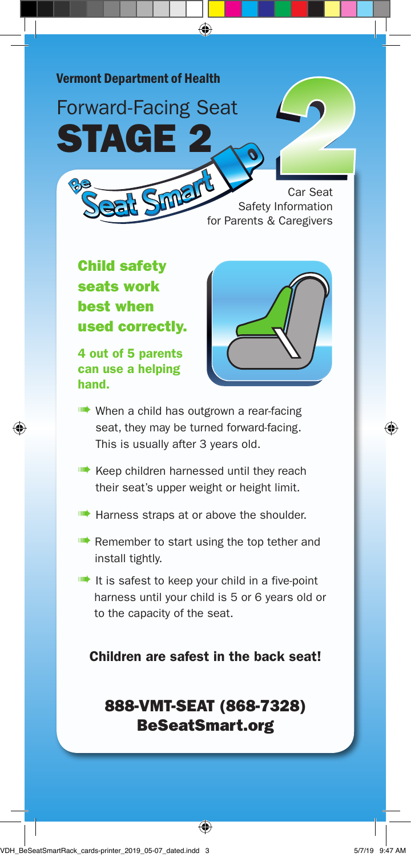

**ILLET** It is safest to keep your child in a five-point harness until your child is 5 or 6 years old or to the capacity of the seat.

Children are safest in the back seat!

## 888-VMT-SEAT (868-7328) BeSeatSmart.org